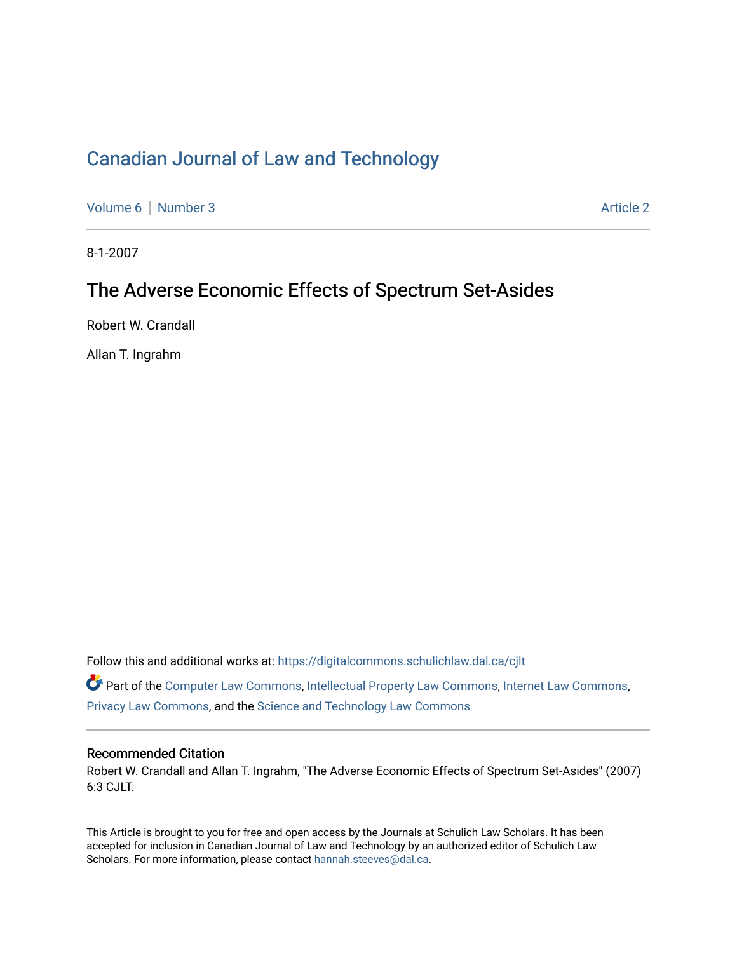## [Canadian Journal of Law and Technology](https://digitalcommons.schulichlaw.dal.ca/cjlt)

[Volume 6](https://digitalcommons.schulichlaw.dal.ca/cjlt/vol6) | [Number 3](https://digitalcommons.schulichlaw.dal.ca/cjlt/vol6/iss3) Article 2

8-1-2007

## The Adverse Economic Effects of Spectrum Set-Asides

Robert W. Crandall

Allan T. Ingrahm

Follow this and additional works at: [https://digitalcommons.schulichlaw.dal.ca/cjlt](https://digitalcommons.schulichlaw.dal.ca/cjlt?utm_source=digitalcommons.schulichlaw.dal.ca%2Fcjlt%2Fvol6%2Fiss3%2F2&utm_medium=PDF&utm_campaign=PDFCoverPages) 

Part of the [Computer Law Commons,](http://network.bepress.com/hgg/discipline/837?utm_source=digitalcommons.schulichlaw.dal.ca%2Fcjlt%2Fvol6%2Fiss3%2F2&utm_medium=PDF&utm_campaign=PDFCoverPages) [Intellectual Property Law Commons,](http://network.bepress.com/hgg/discipline/896?utm_source=digitalcommons.schulichlaw.dal.ca%2Fcjlt%2Fvol6%2Fiss3%2F2&utm_medium=PDF&utm_campaign=PDFCoverPages) [Internet Law Commons,](http://network.bepress.com/hgg/discipline/892?utm_source=digitalcommons.schulichlaw.dal.ca%2Fcjlt%2Fvol6%2Fiss3%2F2&utm_medium=PDF&utm_campaign=PDFCoverPages) [Privacy Law Commons,](http://network.bepress.com/hgg/discipline/1234?utm_source=digitalcommons.schulichlaw.dal.ca%2Fcjlt%2Fvol6%2Fiss3%2F2&utm_medium=PDF&utm_campaign=PDFCoverPages) and the [Science and Technology Law Commons](http://network.bepress.com/hgg/discipline/875?utm_source=digitalcommons.schulichlaw.dal.ca%2Fcjlt%2Fvol6%2Fiss3%2F2&utm_medium=PDF&utm_campaign=PDFCoverPages) 

### Recommended Citation

Robert W. Crandall and Allan T. Ingrahm, "The Adverse Economic Effects of Spectrum Set-Asides" (2007) 6:3 CJLT.

This Article is brought to you for free and open access by the Journals at Schulich Law Scholars. It has been accepted for inclusion in Canadian Journal of Law and Technology by an authorized editor of Schulich Law Scholars. For more information, please contact [hannah.steeves@dal.ca](mailto:hannah.steeves@dal.ca).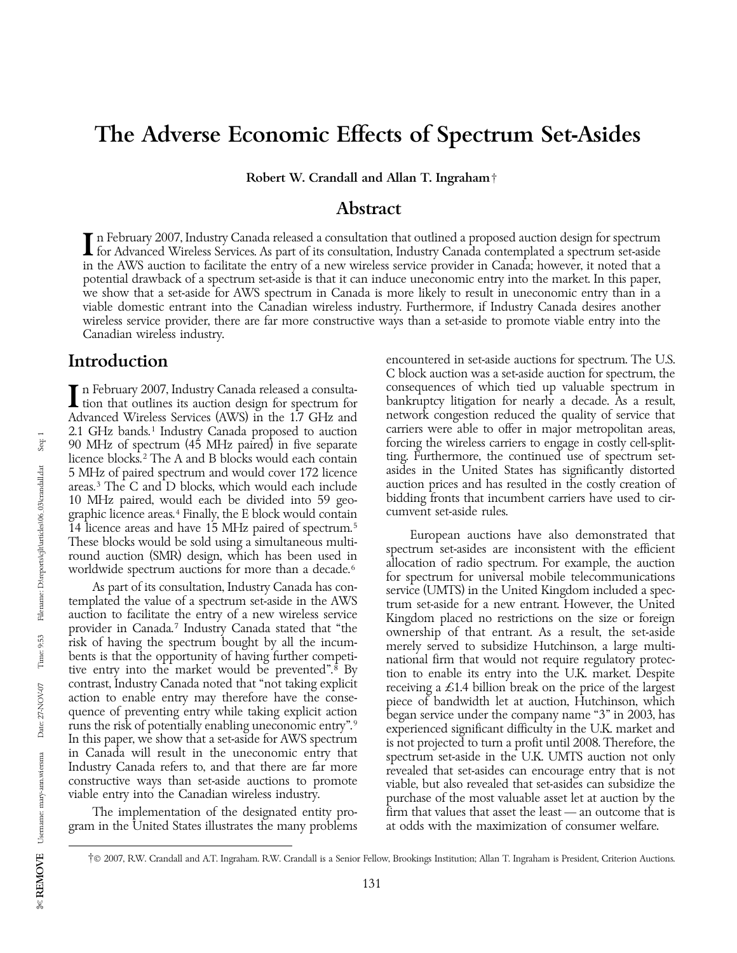## The Adverse Economic Effects of Spectrum Set-Asides

Robert W. Crandall and Allan T. Ingraham†

### Abstract

In February 2007, Industry Canada released a consultation that outlined a proposed auction design for spectrum<br>If or Advanced Wireless Services. As part of its consultation, Industry Canada contemplated a spectrum set-asid in the AWS auction to facilitate the entry of a new wireless service provider in Canada; however, it noted that a potential drawback of a spectrum set-aside is that it can induce uneconomic entry into the market. In this paper, we show that a set-aside for AWS spectrum in Canada is more likely to result in uneconomic entry than in a viable domestic entrant into the Canadian wireless industry. Furthermore, if Industry Canada desires another wireless service provider, there are far more constructive ways than a set-aside to promote viable entry into the Canadian wireless industry.

10 MHz paired, would each be divided into 59 geo-<br>
graphic licence areas <sup>4</sup> Finally the E block would contain cumvent set-aside rules. graphic licence areas.<sup>4</sup> Finally, the E block would contain 14 licence areas and have 15 MHz paired of spectrum.<sup>5</sup><br>These blocks would be sold using a simultaneous multi-

gram in the United States illustrates the many problems

**Introduction** encountered in set-aside auctions for spectrum. The U.S. C block auction was a set-aside auction for spectrum, the In February 2007, Industry Canada released a consulta-<br>
tion that outlines its auction design for spectrum for<br>
Advanced Wireless Services (AWS) in the 1.7 GHz and<br>
the network congestion reduced the quality of service tha Advanced Wireless Services (AWS) in the 1.7 GHz and network congestion reduced the quality of service that 2.1 GHz bands.<sup>1</sup> Industry Canada proposed to auction carriers were able to offer in major metropolitan areas, 2.1 GHz bands.<sup>1</sup> Industry Canada proposed to auction carriers were able to offer in major metropolitan areas, 90 MHz of spectrum (45 MHz paired) in five separate forcing the wireless carriers to engage in costly cell-spli 90 MHz of spectrum (45 MHz paired) in five separate forcing the wireless carriers to engage in costly cell-split-<br>licence blocks.<sup>2</sup> The A and B blocks would each contain ting. Furthermore, the continued use of spectrum se licence blocks.<sup>2</sup> The A and B blocks would each contain ting. Furthermore, the continued use of spectrum set-<br>5 MHz of paired spectrum and would cover 172 licence asides in the United States has significantly distorted 5 MHz of paired spectrum and would cover 172 licence asides in the United States has significantly distorted areas.<sup>3</sup> The C and D blocks, which would each include auction prices and has resulted in the costly creation of areas.<sup>3</sup> The C and D blocks, which would each include auction prices and has resulted in the costly creation of  $10 \text{ MHz}$  paired would each be divided into 59 geo-<br>bidding fronts that incumbent carriers have used to cir-

These blocks would be sold using a simultaneous multi-<br>round auction (SMR) design, which has been used in<br>worldwide spectrum auctions for more than a decade.<sup>6</sup> allocation of radio spectrum. For example, the auction<br>for sp As part of its consultation, Industry Canada has con-<br>templated the value of a spectrum set-aside in the AWS<br>according to the United Kingdom included a spec-<br>translated the value of a spectrum set-aside in the AWS<br>accordi The this paper, we show that a set-aside for AWS spectrum<br>in Canada will result in the uneconomic entry that<br>In Canada will result in the uneconomic entry that<br>Industry Canada refers to, and that there are far more<br>constru The implementation of the designated entity pro-<br>in that values that asset the least — an outcome that is<br>in the United States illustrates the many problems at odds with the maximization of consumer welfare.

<sup>†</sup>© 2007, R.W. Crandall and A.T. Ingraham. R.W. Crandall is a Senior Fellow, Brookings Institution; Allan T. Ingraham is President, Criterion Auctions.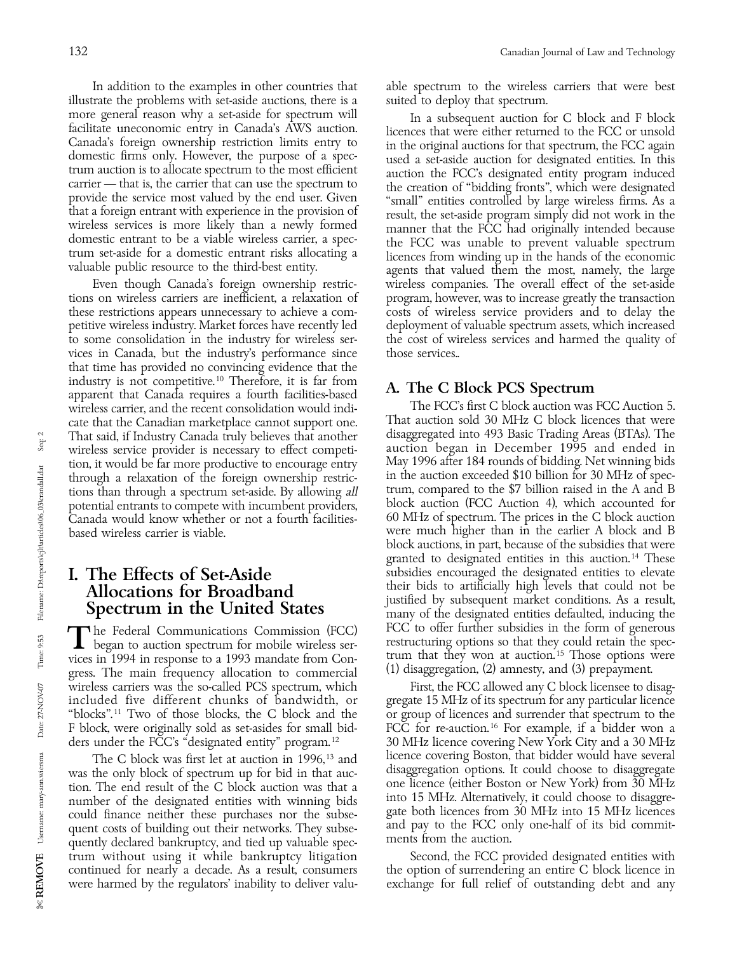illustrate the problems with set-aside auctions, there is a suited to deploy that spectrum.

these restrictions appears unnecessary to achieve a competitive wireless industry. Market forces have recently led deployment of valuable spectrum assets, which increased vices in Canada, but the industry's performance since those services.. that time has provided no convincing evidence that the industry is not competitive.<sup>10</sup> Therefore, it is far from<br>apparent that Canada requires a fourth facilities-based<br>wireless carrier and the recent consolidation would indi-<br>The FCC's first C block auction was FCC Auction 5 wireless carrier, and the recent consolidation would indi-<br>
The FCC's first C block auction was FCC Auction 5.<br>
That auction sold 30 MHz C block licences that were cate that the Canadian marketplace cannot support one. That auction sold 30 MHz C block licences that were<br>That said, if Industry Canada truly believes that another disaggregated into 493 Basic Trading Areas (BTAs). The That said, if Industry Canada truly believes that another disaggregated into 493 Basic Trading Areas (BTAs). The wireless service provider is necessary to effect competi-<br>tion, it would be far more productive to encourage entry May 1996 after 184 rounds of bidding. Net winning bids through a relaxation of the foreign ownership restric-<br>tion, in the auction exceeded \$10 billion for 30 MHz of spec-<br>tions than through a spectrum set-aside. By allowing all<br>trum, compared to the \$7 billion raised in the A potential entrants to compete with incumbent providers, block auction (FCC Auction 4), which accounted for<br>Canada would know whether or not a fourth facilities 60 MHz of spectrum. The prices in the C block auction Canada would know whether or not a fourth facilities-

The Federal Communications Commission (FCC)<br>began to auction spectrum for mobile wireless ser-<br>vices in 1994 in response to a 1993 mandate from Con-<br>gress. The main frequency allocation to commercial (1) disaggregation, (2 ders under the FCC's "designated entity" program.<sup>12</sup>

could finance neither these purchases nor the subse-<br>quent costs of building out their networks. They subse-<br>quent costs of building out their networks. They subse-<br>quently declared bankruptcy, and tied up valuable spec-<br>m trum without using it while bankruptcy litigation Second, the FCC provided designated entities with continued for nearly a decade. As a result, consumers the option of surrendering an entire C block licence in were harmed by the regulators' inability to deliver valu- exchange for full relief of outstanding debt and any

In addition to the examples in other countries that able spectrum to the wireless carriers that were best

more general reason why a set-aside for spectrum will<br>facilitate uneconomic entry in Canada's AWS auction.<br>Canada's AWS auction. In a subsequent auction for C block and F block<br>domestic firms only. However, the purpose of Even though Canada's foreign ownership restric- wireless companies. The overall effect of the set-aside tions on wireless carriers are inefficient, a relaxation of program, however, was to increase greatly the transaction to some consolidation in the industry for wireless ser- the cost of wireless services and harmed the quality of

tions than through a spectrum set-aside. By allowing *all* trum, compared to the \$7 billion raised in the A and B<br>potential entrants to compete with incumbent providers. Block auction (FCC Auction 4), which accounted for based wireless carrier is viable. were much higher than in the earlier A block and B block auctions, in part, because of the subsidies that were granted to designated entities in this auction.<sup>14</sup> These subsidies encouraged the designated entities to elevate **I. The Effects of Set-Aside**<br> **Allocations for Broadband**<br> **Spectrum in the United States**<br>
The Federal Communications Commission (FCC)<br>
FCC to offer further subsidies in the form of generous

wireless carriers was the so-called PCS spectrum, which First, the FCC allowed any C block licensee to disag-<br>included five different chunks of bandwidth, or gregate 15 MHz of its spectrum for any particular licence included five different chunks of bandwidth, or gregate 15 MHz of its spectrum for any particular licence "blocks".<sup>11</sup> Two of those blocks, the C block and the or group of licences and surrender that spectrum to the or group of licences and surrender that spectrum to the FCC for re-auction.<sup>16</sup> For example, if a bidder won a F block, were originally sold as set-asides for small bid-<br>ders under the FCC's "designated entity" program.<sup>12</sup> 30 MHz licence covering New York City and a 30 MHz The C block was first let at auction in 1996,<sup>13</sup> and licence covering Boston, that bidder would have several the only block of spectrum up for hid in that auc-<br>disaggregation options. It could choose to disaggregate was the only block of spectrum up for bid in that auc-<br>tion The end result of the C block auction was that a some licence (either Boston or New York) from 30 MHz tion. The end result of the C block auction was that a some licence (either Boston or New York) from 30 MHz number of the designated entities with winning bids into 15 MHz. Alternatively, it could choose to disaggre-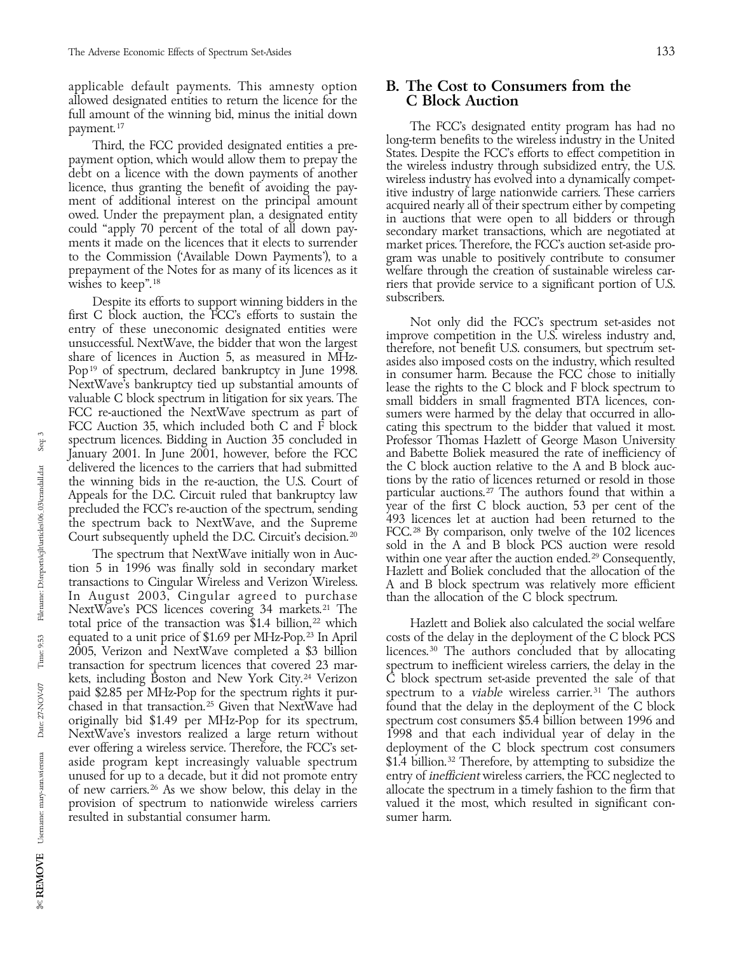applicable default payments. This amnesty option  $\quad$  B. The Cost to Consumers from the allowed designated entities to return the licence for the  $\quad$  C Block Auction allowed designated entities to return the licence for the full amount of the winning bid, minus the initial down

prepayment of the Notes for as many of its licences as it welfare through the creation of sustainable wireless car-<br>riers that provide service to a significant portion of U.S.

Despite its efforts to support winning bidders in the subscribers. first C block auction, the FCC's efforts to sustain the<br>entry of these uneconomic designated entities were<br>unsuccessful. NextWave, the bidder that won the largest<br>share of licences in Auction 5, as measured in MHz-<br>Pop<sup>19</sup> FCC Auction 35, which included both C and F block cating this spectrum to the bidder that valued it most. spectrum licences. Bidding in Auction 35 concluded in Professor Thomas Hazlett of George Mason University January 2001. In June 2001, however, before the FCC and Babette Boliek measured the rate of inefficiency of delivered the licences to the carriers that had submitted the C block auction relative to the A and B block auction the winning bids in the re-auction, the U.S. Court of tions by the ratio of licences returned or resold in the winning bids in the re-auction, the U.S. Court of tions by the ratio of licences returned or resold in those<br>Appeals for the D.C. Circuit ruled that bankruptcy law particular auctions.<sup>27</sup> The authors found that within Appeals for the D.C. Circuit ruled that bankruptcy law precluded the FCC's re-auction of the spectrum, sending

NextWave's PCS licences covering 34 markets.<sup>21</sup> The total price of the transaction was  $$1.4$  billion,<sup>22</sup> which Hazlett and Boliek also calculated the social welfare ever offering a wireless service. Therefore, the FCC's setresulted in substantial consumer harm. Sumer harm.

payment.<sup>17</sup><br>The FCC's designated entity program has had no<br>Third the ECC provided designated entities a precipional program benefits to the wireless industry in the United Third, the FCC provided designated entities a pre-<br>payment option, which would allow them to prepay the<br>debt on a licence with the down payments of another<br>debt on a licence with the down payments of another<br>licence, thus riers that provide service to a significant portion of U.S.

precluded the FCC's re-auction of the spectrum, sending<br>the spectrum back to NextWave, and the Supreme<br>Court subsequently upheld the D.C. Circuit's decision.<sup>20</sup> FCC.<sup>28</sup> By comparison, only twelve of the 102 licences<br>sold The spectrum that NextWave initially won in Auchieve in the within one year after the auction ended.<sup>29</sup> Consequently,<br>tion 5 in 1996 was finally sold in secondary market<br>transactions to Cingular Wireless and Verizon Wirel transactions to Cingular Wireless and Verizon Wireless. A and B block spectrum was relatively more efficient In August 2003, Cingular agreed to purchase than the allocation of the C block spectrum.

equated to a unit price of \$1.69 per MHz-Pop.<sup>23</sup> In April costs of the delay in the deployment of the C block PCS 2005, Verizon and NextWave completed a  $$3$  billion licences.<sup>30</sup> The authors concluded that by allocating transaction for spectrum licences that covered 23 mar- spectrum to inefficient wireless carriers, the delay in the kets, including Boston and New York City.<sup>24</sup> Verizon C block spectrum set-aside prevented the sale of that paid \$2.85 per MHz-Pop for the spectrum rights it pur-<br>spectrum to a *viable* wireless carrier.<sup>31</sup> The authors chased in that transaction. 25 Given that NextWave had found that the delay in the deployment of the C block originally bid \$1.49 per MHz-Pop for its spectrum, spectrum cost consumers \$5.4 billion between 1996 and NextWave's investors realized a large return without 1998 and that each individual year of delay in the ever offering a wireless service. Therefore, the FCC's set-<br>deployment of the C block spectrum cost consumers aside program kept increasingly valuable spectrum  $$1.4$  billion.<sup>32</sup> Therefore, by attempting to subsidize the unused for up to a decade, but it did not promote entry entry of *inefficient* wireless carriers, the FCC neglected to of new carriers. 26 As we show below, this delay in the allocate the spectrum in a timely fashion to the firm that provision of spectrum to nationwide wireless carriers valued it the most, which resulted in significant con-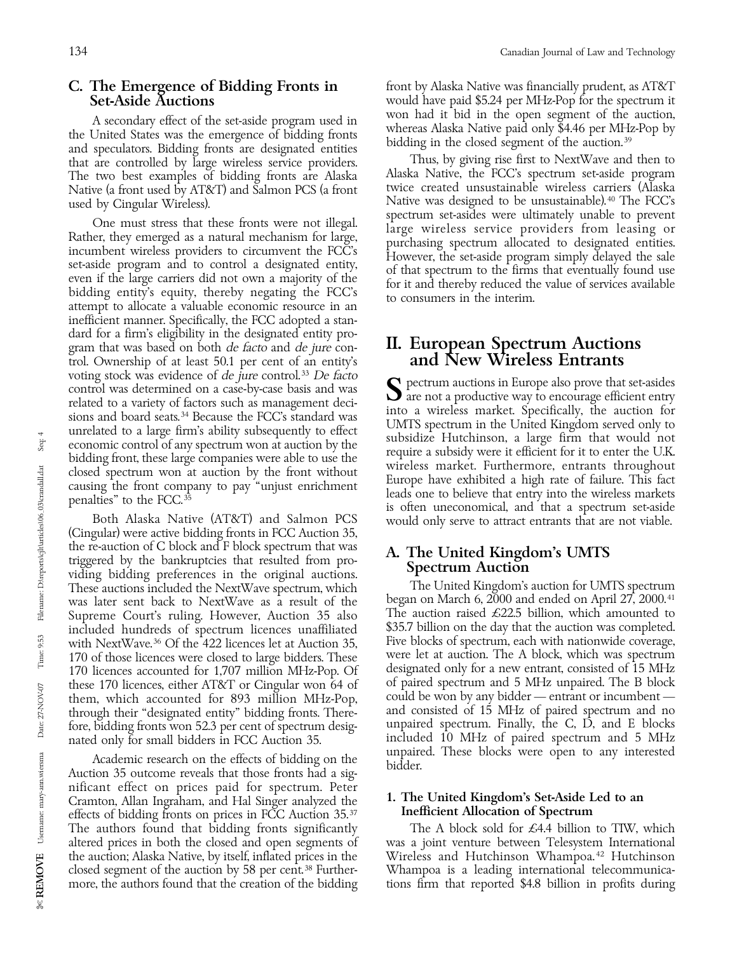and speculators. Bidding fronts are designated entities Native (a front used by AT&T) and Salmon PCS (a front used by Cingular Wireless).

One must stress that these fronts were not illegal.<br>
Rather, they emerged as a natural mechanism for large,<br>
incumbent wireless providers to circumvent the FCC's<br>
set-aside program and to control a designated entity,<br>
setinefficient manner. Specifically, the FCC adopted a standard for a firm's eligibility in the designated entity program that was based on both *de facto* and *de jure* control. Ownership of at least 50.1 per cent of an entity's voting stock was evidence of  $de$  jure control.<sup>33</sup> De facto voting stock was evidence of *de jure* control.<sup>33</sup> *De facto*<br>control was determined on a case-by-case basis and was<br>related to a variety of factors such as management deci-<br>sions and board seats.<sup>34</sup> Because the FCC's st

the re-auction of C block and F block spectrum that was<br>triggered by the bankruptcies that resulted from pro-<br>viding bidding preferences in the original auctions.<br>The United Kingdom's auction for UMTS spectrum<br>The United K included hundreds of spectrum licences unaffiliated. these 170 licences, either AT&T or Cingular won 64 of through their "designated entity" bidding fronts. There-

Academic research on the effects of bidding on the effects of bidding on the bidder.<br>Auction 35 outcome reveals that those fronts had a significant effect on prices paid for spectrum. Peter Cramton, Allan Ingraham, and Hal Singer analyzed the  $\frac{1}{2}$ . The United Kingdom's Set-Aside Led to an effects of bidding fronts on prices in FCC Auction 35.37 effects of bidding fronts on prices in FCC Auction  $35.^{37}$ the auction; Alaska Native, by itself, inflated prices in the

**C. The Emergence of Bidding Fronts in** front by Alaska Native was financially prudent, as AT&T<br>Set-Aside Auctions would have paid \$5.24 per MHz-Pop for the spectrum it would have paid \$5.24 per MHz-Pop for the spectrum it won had it bid in the open segment of the auction, A secondary effect of the set-aside program used in<br>the United States was the emergence of bidding fronts<br>and speculator. Bidding fronts are designated entities<br>and speculator. Bidding fronts are designated entities

that are controlled by large wireless service providers. Thus, by giving rise first to NextWave and then to<br>The two best examples of bidding fronts are Alaska Alaska Native, the FCC's spectrum set-aside program The two best examples of bidding fronts are Alaska Alaska Native, the FCC's spectrum set-aside program Native was designed to be unsustainable).<sup>40</sup> The FCC's spectrum set-asides were ultimately unable to prevent

## II. European Spectrum Auctions<br>and New Wireless Entrants

penalties" to the FCC.<sup>35</sup><br>Both Alaska Native (AT&T) and Salmon PCS is often uneconomical, and that a spectrum set-aside<br>(Cingular) were active bidding fronts in FCC Auction 35,

These auctions included the NextWave spectrum, which The United Kingdom's auction for UMTS spectrum<br>was later sent back to NextWave as a result of the began on March 6, 2000 and ended on April 27, 2000.<sup>41</sup> was later sent back to NextWave as a result of the began on March 6, 2000 and ended on April 27, 2000.<sup>41</sup><br>Supreme Court's ruling, However, Auction 35 also The auction raised £22.5 billion, which amounted to Supreme Court's ruling. However, Auction 35 also The auction raised  $\pm 22.5$  billion, which amounted to included hundreds of spectrum licences unaffiliated  $$35.7$  billion on the day that the auction was completed. with NextWave.<sup>36</sup> Of the 422 licences let at Auction 35, Five blocks of spectrum, each with nationwide coverage,<br>170 of those licences were closed to large bidders. These were let at auction. The A block, which was spectr 170 of those licences were closed to large bidders. These were let at auction. The A block, which was spectrum<br>170 licences accounted for 1.707 million MHz-Pop. Of designated only for a new entrant, consisted of 15 MHz 170 licences accounted for 1,707 million MHz-Pop. Of designated only for a new entrant, consisted of 15 MHz<br>these 170 licences, either AT&T or Cingular won 64 of of paired spectrum and 5 MHz unpaired. The B block them, which accounted for 893 million MHz-Pop, could be won by any bidder — entrant or incumbent — through their "designated entity" bidding fronts. There- and consisted of 15 MHz of paired spectrum and no fore, bidding fronts won 52.3 per cent of spectrum desig-<br>nated only for small bidders in FCC Auction 35. The included 10 MHz of paired spectrum and 5 MHz nated only for small bidders in FCC Auction 35. included 10 MHz of paired spectrum and 5 MHz

The authors found that bidding fronts significantly The A block sold for £4.4 billion to TIW, which altered prices in both the closed and open segments of was a joint venture between Telesystem International altered prices in both the closed and open segments of was a joint venture between Telesystem International<br>the auction; Alaska Native, by itself, inflated prices in the Wireless and Hutchinson Whampoa.<sup>42</sup> Hutchinson closed segment of the auction by 58 per cent.<sup>38</sup> Further- Whampoa is a leading international telecommunicamore, the authors found that the creation of the bidding tions firm that reported \$4.8 billion in profits during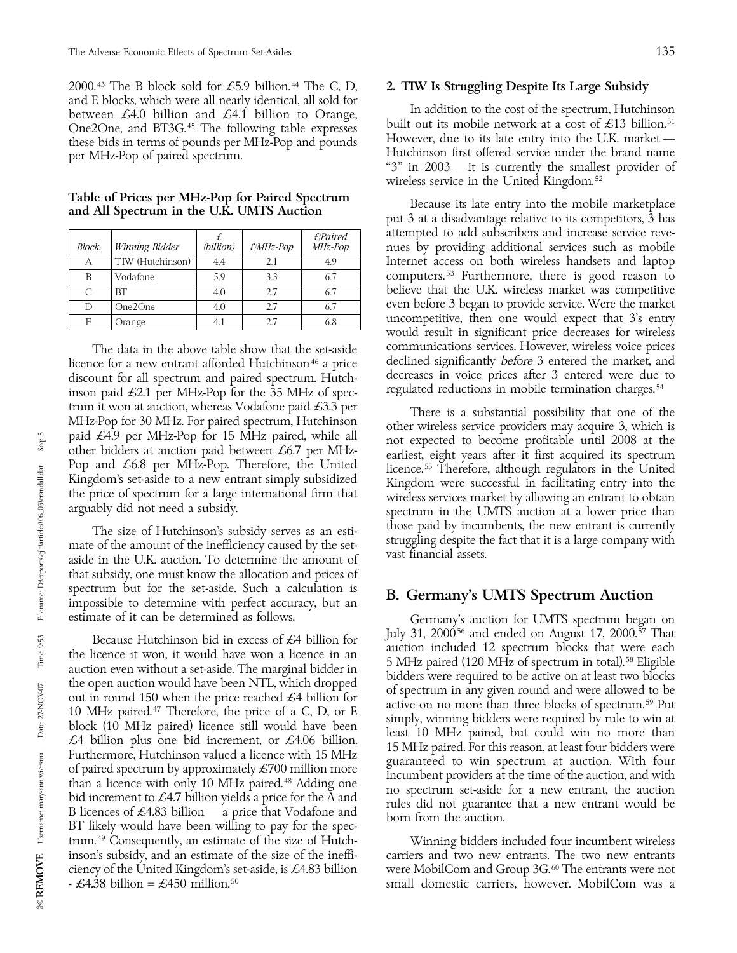2000.<sup>43</sup> The B block sold for £5.9 billion.<sup>44</sup> The C, D, 2. **TIW Is Struggling Despite Its Large Subsidy** and E blocks, which were all nearly identical, all sold for

| Block     | Winning Bidder   | (billion) | $£$ <i>MHz-Pop</i> | E/Paired<br>MHz-Pop |
|-----------|------------------|-----------|--------------------|---------------------|
| А         | TIW (Hutchinson) | 4.4       | 2.1                | 4.9                 |
| B         | Vodafone         | 5.9       | 3.3                | 6.7                 |
| $\subset$ | RT               | 4.0       | 27                 | 6.7                 |
|           | One2One          | 4.0       | 2.7                | 6.7                 |
| E         | Orange           | 4.1       | 27                 | 6.8                 |

discount for all spectrum and paired spectrum. Hutch-<br>inson paid £2.1 per MHz-Pop for the 35 MHz of spec-<br>regulated reductions in mobile termination charges.<sup>54</sup> inson paid  $\pounds 2.1$  per MHz-Pop for the 35 MHz of spec-

that subsidy, one must know the allocation and prices of spectrum but for the set-aside. Such a calculation is<br>impossible to determine with perfect accuracy, but an<br>estimate of it can be determined as follows.<br>Germany's auction for UMTS spectrum began

Because Hutchinson bid in excess of  $\mathcal{L}4$  billion for July 31, 2000<sup>56</sup> and ended on August 17, 2000.<sup>56</sup> That<br>the licence it won, it would have won a licence in an aution included 12 spectrum blocks that were each<br>au trum.<sup>49</sup> Consequently, an estimate of the size of Hutch-<br>
inson's subsidy, and an estimate of the size of the ineffi-<br>
carriers and two new entrants. The two new entrants

between £4.0 billion and £4.1 billion to Orange,<br>
One2One, and BT3G.<sup>45</sup> The following table expresses built out its mobile network at a cost of £13 billion.<sup>51</sup><br>
these bids in terms of pounds per MHz-Pop and pounds Howev these bids in terms of pounds per MHz-Pop and pounds However, due to its late entry into the U.K. market —<br>Hutchinson first offered service under the brand name per MHz-Pop of paired spectrum.<br>
"3" in 2003 — it is currently the smallest provider of wireless service in the United Kingdom. <sup>52</sup>

Table of Prices per MHz-Pop for Paired Spectrum<br>and All Spectrum in the U.K. UMTS Auction put 3 at a disadvantage relative to its competitors, 3 has attempted to add subscribers and increase service revenues by providing additional services such as mobile Internet access on both wireless handsets and laptop computers.<sup>53</sup> Furthermore, there is good reason to believe that the U.K. wireless market was competitive even before 3 began to provide service. Were the market uncompetitive, then one would expect that 3's entry would result in significant price decreases for wireless The data in the above table show that the set-aside communications services. However, wireless voice prices communications services. However, wireless voice prices communications services. However, wireless voice prices co licence for a new entrant afforded Hutchinson<sup>46</sup> a price declined significantly *before* 3 entered the market, and<br>discount for all spectrum and paired spectrum. Hutch-decreases in voice prices after 3 entered were due to

trum it won at auction, whereas Vodafone paid £3.3 per<br>MHz-Pop for 30 MHz. For paired spectrum, Hutchinson<br>paid £4.9 per MHz-Pop for 15 MHz paired, while all<br>other wireless service providers may acquire 3, which is<br>other b The size of Hutchinson's subsidy serves as an esti-<br>mate of the amount of the inefficiency caused by the set-<br>aside in the U.K. auction. To determine the amount of vast financial assets.

Germany's auction for UMTS spectrum began on July 31, 2000<sup>56</sup> and ended on August 17, 2000.<sup>57</sup> That

carriers and two new entrants. The two new entrants ciency of the United Kingdom's set-aside, is £4.83 billion were MobilCom and Group 3G. 60 The entrants were not -  $\pounds4.38$  billion =  $\pounds450$  million.<sup>50</sup> small domestic carriers, however. MobilCom was a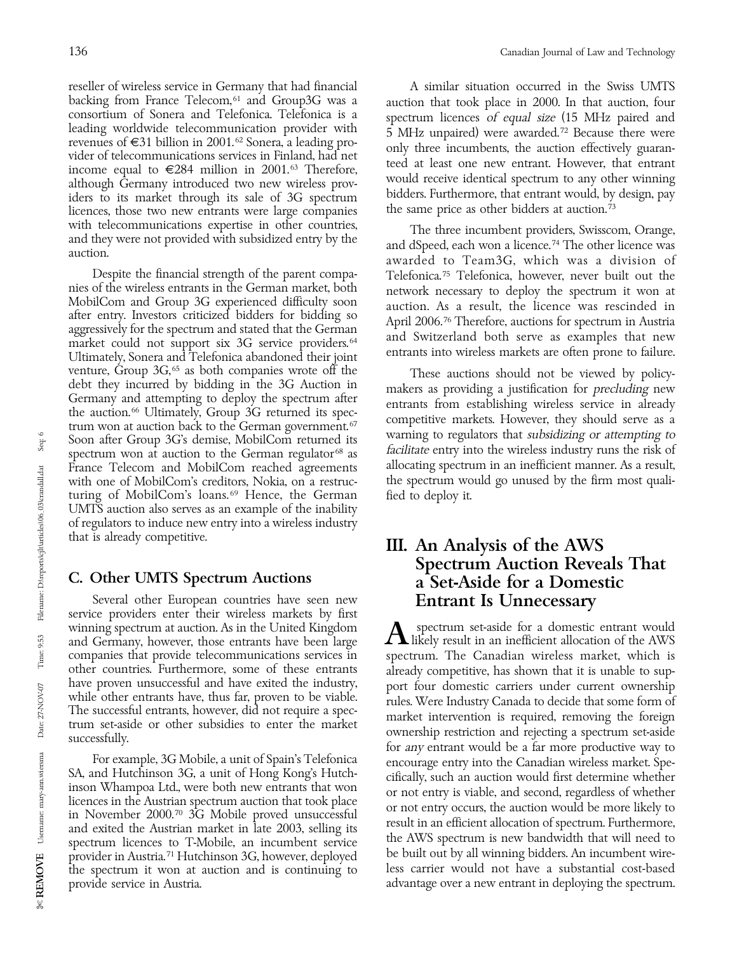reseller of wireless service in Germany that had financial A similar situation occurred in the Swiss UMTS backing from France Telecom,<sup>61</sup> and Group3G was a auction that took place in 2000. In that auction, four consortium of Sonera and Telefonica. Telefonica is a spectrum licences of equal size (15 MHz paired and consortium of Sonera and Telefonica. Telefonica is a<br>leading worldwide telecommunication provider with<br>revenues of  $\epsilon$ 31 billion in 2001.<sup>62</sup> Sonera, a leading pro-<br>vider of telecommunications services in Finland, had ne

Despite the financial strength of the parent compa-<br>nies of the wireless entrants in the German market, both<br>network necessary to deploy the spectrum it won at mies of the wireless entrants in the German market, both and both crossary to deploy the spectrum it won at MobilCom and Group 3G experienced difficulty soon after entry. Investors criticized bidders for bidding so after e market could not support six 3G service providers.<sup>64</sup> and SWIZEHAND both serve as examples that hew<br>Ultimately, Sonera and Telefonica abandoned their joint entrants into wireless markets are often prone to failure.<br>Ventur France Telecom and MobilCom reached agreements turing of MobilCom's loans.<sup>69</sup> Hence, the German fied to deploy it. UMTS auction also serves as an example of the inability of regulators to induce new entry into a wireless industry

Several other European countries have seen new **Entrant Is Unnecessary**<br>service providers enter their wireless markets by first<br>winning spectrum at auction. As in the United Kingdom **A** spectrum set-aside for a domestic en winning spectrum at auction. As in the United Kingdom companies that provide telecommunications services in other countries. Furthermore, some of these entrants

the spectrum it won at auction and is continuing to provide service in Austria. A contrast to the spectrum advantage over a new entrant in deploying the spectrum.

with telecommunications expertise in other countries,<br>and they were not provided with subsidized entry by the<br>auction.<br>Despite the financial strength of the parent compa-<br>Despite the financial strength of the parent compa-

venture, Group 3G,<sup>65</sup> as both companies wrote off the These auctions should not be viewed by policy-<br>debt they incurred by bidding in the 3G Auction in<br>Germany and attempting to deploy the spectrum after<br>the auction.<sup>66</sup> subsidizing to regulators that subsidiate or attenuate that subsidiate entry into the wireless industry runs the risk of spectrum won at auction to the German regulator  $\frac{facilitate}{a}$  entry into the wireless industry runs t with one of MobilCom's creditors, Nokia, on a restruc-<br>the spectrum would go unused by the firm most quali-

## that is already competitive. **III.** An Analysis of the AWS Spectrum Auction Reveals That C. Other UMTS Spectrum Auctions a Set-Aside for a Domestic

and Germany, however, those entrants have been large and Germany, however, those entrants have been large  $\Lambda$  likely result in an inefficient allocation of the AWS companies that provide telecommunications services in spe other countries. Furthermore, some of these entrants<br>have proven unsuccessful and have exited the industry,<br>while other entrants have, thus far, proven to be viable.<br>The successful entrants, however, did not require a spec For example, 3G Mobile, a unit of Spain's Telefonica<br>SA, and Hutchinson 3G, a unit of Hong Kong's Hutch<br>inson Whampoa Ltd., were both new entrants that won<br>licences in the Austrian spectrum auction that took place<br>in Novem spectrum licences to T-Mobile, an incumbent service the AWS spectrum is new bandwidth that will need to<br>provider in Austria.<sup>71</sup> Hutchinson 3G, however, deployed be built out by all winning bidders. An incumbent wire-<br>the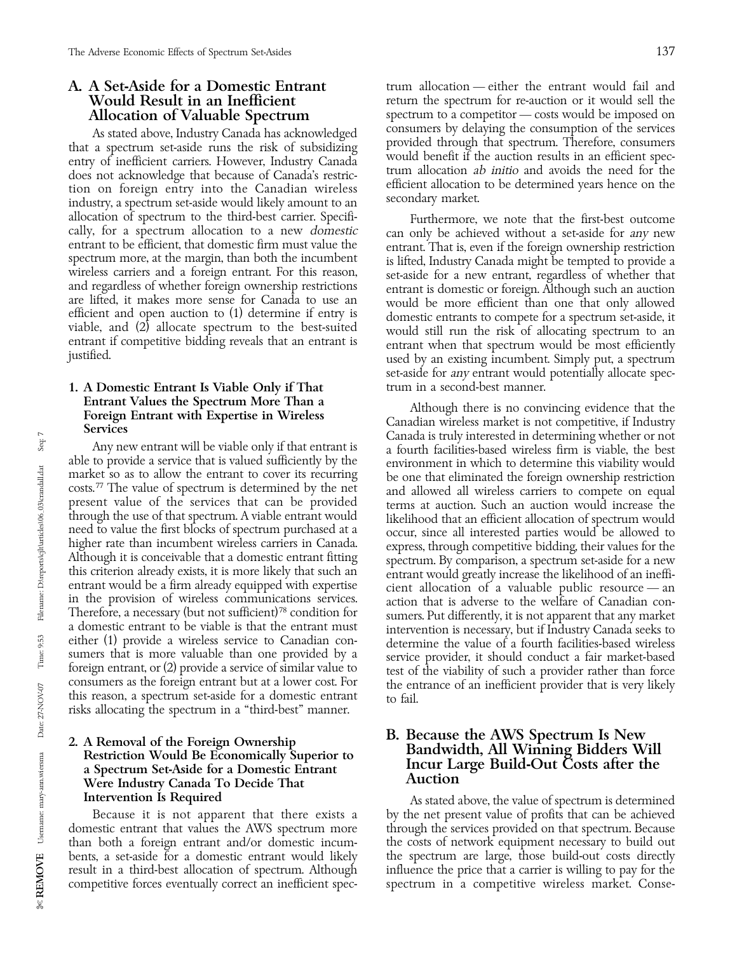As stated above, Industry Canada has acknowledged<br>that a spectrum set-aside runs the risk of subsidizing<br>entry of inefficient carriers. However, Industry Canada<br>does not acknowledge that because of Canada's restric-<br>tion o allocation of spectrum to the third-best carrier. Specifi-<br>
cally, for a spectrum allocation to a new *domestic*<br>
entrant to be efficient, that domestic firm must value the<br>
entrant. That is, even if the foreign ownership

# 1. A Domestic Entrant Is Viable Only if That

through the use of that spectrum. A viable entrant would<br>need to value the first blocks of spectrum purchased at a<br>higher rate than incumbent wireless carriers in Canada.<br>Although it is conceivable that a domestic entrant sumers that is more valuable than one provided by a<br>foreign entrant, or (2) provide a service of similar value to<br>consumers as the foreign entrant but at a lower cost. For<br>the entrance of an inefficient provider that is ve risks allocating the spectrum in a ''third-best'' manner.

## Were Industry Canada To Decide That Intervention Is Required **As stated above, the value of spectrum** is determined

result in a third-best allocation of spectrum. Although

A. A Set-Aside for a Domestic Entrant trum allocation — either the entrant would fail and **Would Result in an Inefficient** term the spectrum for re-auction or it would sell the **Would Result in an Inefficient** return the spectrum for re-auction or it would sell the **Allocation of Valuable Spectrum** spectrum spectrum spectrum spectrum spectrum spectrum spectrum spectrum spectrum spectrum to a competitor — costs would be imposed on consumers by delaying the consumption of the services

entrant to be efficient, that domestic firm must value the<br>spectrum more, at the margin, than both the incumbent<br>wireless carriers and a foreign entrant. For this reason,<br>and regardless of whether foreign entrant. For this set-aside for *any* entrant would potentially allocate spec-<br>trum in a second-best manner.

**Entrant Values the Spectrum More Than a**<br> **Entrant with Expertise in Wireless**<br> **Entrant with Expertise in Wireless**<br> **Entrant with Expertise in Wireless**<br> **Entrant with Expertise in Wireless**<br> **ENDENDER CALLAGE CALLAGE** entrant would be a firm already equipped with expertise<br>
in the provision of wireless communications services.<br>
Therefore, a necessary (but not sufficient)<sup>78</sup> condition for<br>
a domestic entrant to be viable is that the ent

# 2. A Removal of the Foreign Ownership<br>
Restriction Would Be Economically Superior to<br>
a Spectrum Set-Aside for a Domestic Entrant<br>
Ware Industry Canada To Decide That<br>
Ware Industry Canada To Decide That<br>
Auction

Because it is not apparent that there exists a by the net present value of profits that can be achieved estic entrant that values the AWS spectrum more through the services provided on that spectrum. Because domestic entrant that values the AWS spectrum more through the services provided on that spectrum. Because than both a foreign entrant and/or domestic incumthan both a foreign entrant and/or domestic incum-<br>bents, a set-aside for a domestic entrant would likely the spectrum are large, those build-out costs directly bents, a set-aside for a domestic entrant would likely the spectrum are large, those build-out costs directly<br>result in a third-best allocation of spectrum. Although influence the price that a carrier is willing to pay for competitive forces eventually correct an inefficient spec- spectrum in a competitive wireless market. Conse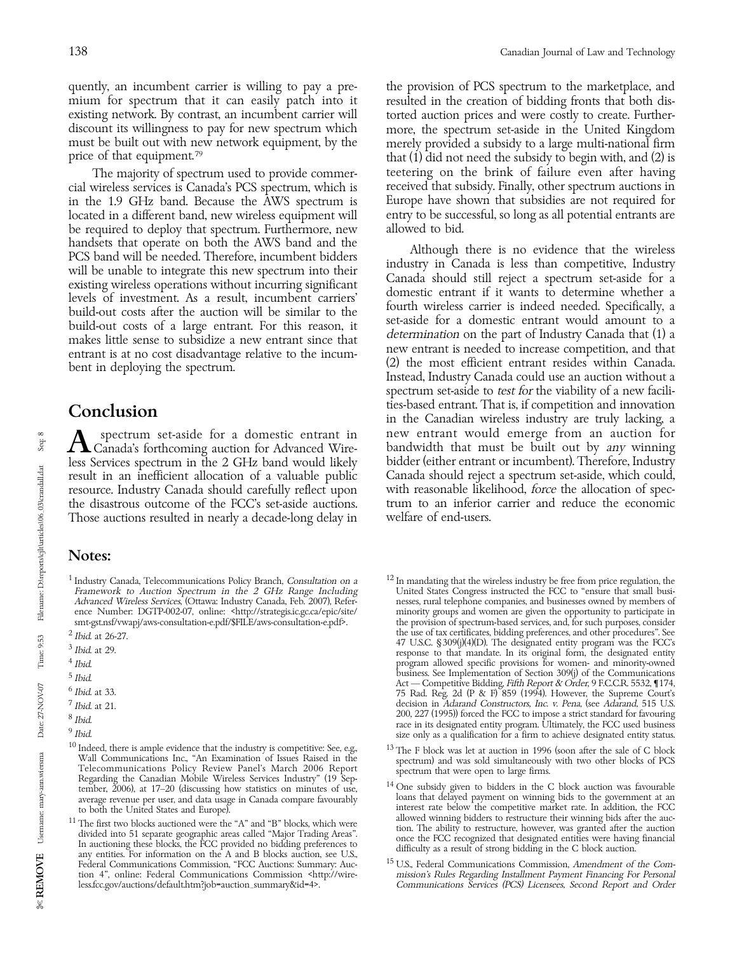quently, an incumbent carrier is willing to pay a pre-<br>mium for spectrum that it can easily patch into it resulted in the creation of bidding fronts that both dismium for spectrum that it can easily patch into it existing network. By contrast, an incumbent carrier will discount its willingness to pay for new spectrum which more, the spectrum set-aside in the United Kingdom must be built out with new network equipment, by the merely provided a subsidy to a large multi-national firm<br>price of that equipment.<sup>79</sup> that (1) did not need the subsidy to begin with, and (2) is

cial wireless services is Canada's PCS spectrum, which is received that subsidy. Finally, other spectrum auctions in in the 1.9 GHz band. Because the AWS spectrum is Europe have shown that subsidies are not required for located in a different band, new wireless equipment will entry to be successful, so long as all potential entrants are located in a different band, new wireless equipment will be required to deploy that spectrum. Furthermore, new allowed to bid. handsets that operate on both the AWS band and the<br>
PCS band will be needed. Therefore, incumbent bidders<br>
will be unable to integrate this new spectrum into their<br>
existing wireless operations without incurring significan build-out costs of a large entrant. For this reason, it<br>makes little sense to subsidize a new entrant since that determination on the part of Industry Canada that (1) a<br>new entrant is needed to increase competition, and th

the disastrous outcome of the FCC's set-aside auctions. Those auctions resulted in nearly a decade-long delay in welfare of end-users.

### Notes:

- 
- 
- 
- 
- 
- 
- 
- 
- 

torted auction prices and were costly to create. Furtherthat  $(1)$  did not need the subsidy to begin with, and  $(2)$  is The majority of spectrum used to provide commer-heetering on the brink of failure even after having<br>wireless services is Canada's PCS spectrum, which is here every that subsidy. Finally, other spectrum auctions in

entrant is at no cost disadvantage relative to the incum-<br>bent in deploying the spectrum.<br>Instead, Industry Canada could use an auction without a<br>Instead, Industry Canada could use an auction without a spectrum set-aside to *test for* the viability of a new facilities-based entrant. That is, if competition and innovation **Conclusion**<br>in the Canadian wireless industry are truly lacking, a<br>pectrum set-aside for a domestic entrant in the Wentrant would emerge from an auction for Spectrum set-aside for a domestic entrant in new entrant would emerge from an auction for Canada's forthcoming auction for Advanced Wire-<br>less Services spectrum in the 2 GHz band would likely bidder (either entrant or incu less Services spectrum in the 2 GHz band would likely bidder (either entrant or incumbent). Therefore, Industry result in an inefficient allocation of a valuable public Canada should reject a spectrum set-aside, which could, resource. Industry Canada should carefully reflect upon with reasonable likelihood, force the allocation of s resource. Industry Canada should carefully reflect upon with reasonable likelihood, force the allocation of spec-<br>the disastrous outcome of the FCC's set-aside auctions. Irum to an inferior carrier and reduce the economic

- average revenue per user, and data usage in Canada compare favourably loans that delayed payment on winning bids to the government at an to both the United States and Europe). interest rate below the competitive market rate. In addition, the FCC
- Federal Communications Commission, "FCC Auctions: Summary: Auc-<br>
tion 4", online: Federal Communications Commission <http://wire-<br>
mission's Rules Regarding Installment Payment Financing For Personal Communications Services (PCS) Licensees, Second Report and Order

Seq: 8

<sup>&</sup>lt;sup>10</sup> Indeed, there is ample evidence that the industry is competitive: See, e.g.,<br>
Wall Communications Inc., "An Examination of Issues Raised in the<br>
Telecommunications Policy Review Panel's March 2006 Report<br>
Telecommuni tember, 2006), at 17–20 (discussing how statistics on minutes of use, and the C bidders in the C block auction was favourable average revenue per user, and data usage in Canada compare favourably loans that delayed payment

<sup>&</sup>lt;sup>11</sup>The first two blocks auctioned were the "A" and "B" blocks, which were<br><sup>11</sup>The first two blocks auctioned were the "A" and "B" blocks, which were<br>divided into 51 separate geographic areas called "Major Trading Areas".<br> tion 4", online: Federal Communications Commission <http://wire- mission's Rules Regarding Installment Payment Financing For Personal<br>less.fcc.gov/auctions/default.htm?job=auction\_summary&id=4>. Communications Services (PC

<sup>&</sup>lt;sup>1</sup> Industry Canada, Telecommunications Policy Branch, *Consultation on a*  $\frac{12 \text{ In manufacturing that the wireless industry be free from price regulation, the Unitect States Congress instructed the FCC to "ensure that small busi-  
Advanced Wireless Services, (Ottawa: Industry Canada, Feb. 2007), Refer-  
of the University of the University of the University of the University.$ Framework to Auction Spectrum in the 2 GHz Range Including United States Congress instructed the FCC to "ensure that small busi-Advanced Wireless Services, (Ottawa: Industry Canada, Feb. 2007), Refer- nesses, rural telephone companies, and businesses owned by members of ence Number: DGTP-002-07, online: <http://strategis.ic.gc.ca/epic/site/ minority groups and women are given the opportunity to participate in smt-gst.nsf/vwapj/aws-consultation-e.pdf/\$FILE/aws-consultation-e.pdf>. the provision of spectrum-based services, and, for such purposes, consider the use of tax certificates, bidding preferences, and other procedures". Se 2 Ibid. at 26-27.<br>
2 Ibid. at 29.<br>
2 Ibid. at 29.<br>
2 Ibid. at 29.<br>
2 Ibid. at 29.<br>
2 Ibid. at 29.<br>
2 Ibid. at 29.<br>
2 Ibid. at 29.<br>
2 Ibid. at 29.<br>
2 Ibid. at 29.<br>
2 Ibid. at 29.<br>
2 Ibid. at 29.<br>
2 Ibid. at 29.<br>
2 Ibid. at program allowed specific provisions for women- and minority-owned<br>business. See Implementation of Section 309(j) of the Communications business. See Implementation of Section 3099) of the Communications<br>
Act — Competitive Bidding Fifth Report & Order, 9 F.C.C.R. 5532, 1174,<br>
<sup>6</sup> Ibid. at 33.<br>
<sup>7</sup> Ibid. at 21.<br>
<sup>7</sup> Ibid. at 21. and a 21.<br>
200, 227 (1995)) forced the FCC to impose a strict standard for favouring<br>
<sup>8</sup> Ibid.<br>
<sup>9</sup> Ibid.<br>
<sup>9</sup> Ibid.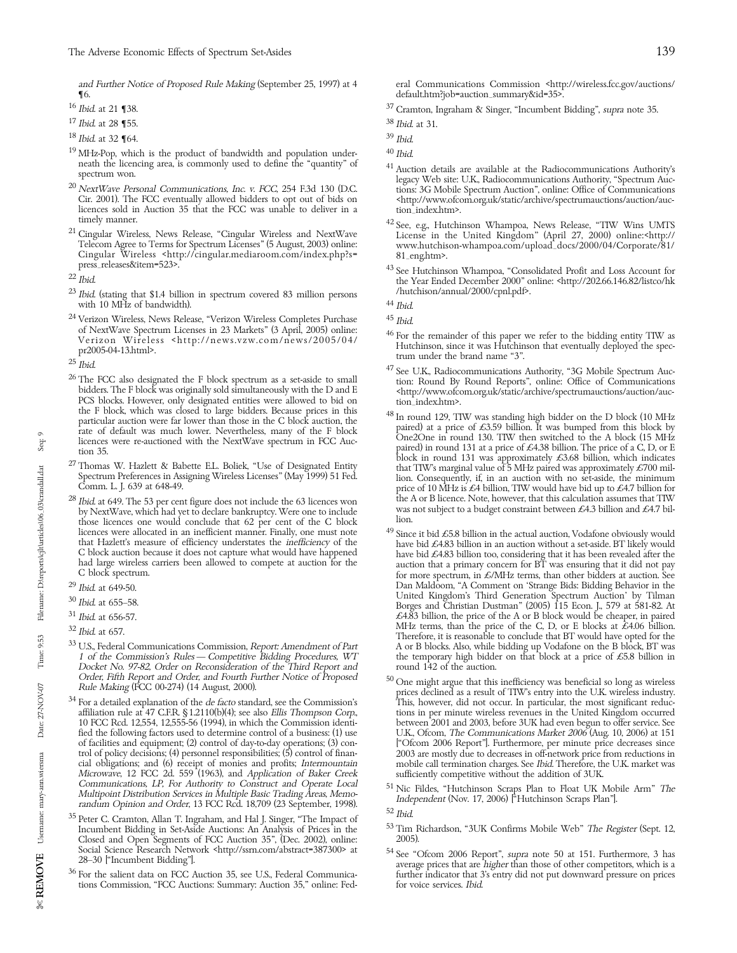- $^{17}$  Ibid. at 28 ¶55.  $^{38}$  Ibid. at 31.  $^{38}$  Ibid. at 31.  $^{39}$  Ibid. at 32 ¶64.  $18$  *Ibid.* at 32  $\P64$ .
- <sup>19</sup> MHz-Pop, which is the product of bandwidth and population under-<br>neath the licencing area, is commonly used to define the "quantity" of  $\frac{41}{10}$
- Cir. 2001). The FCC eventually allowed bidders to opt out of bids on  $\langle \text{http://www.ofcc} \rangle$  dicences sold in Auction 35 that the FCC was unable to deliver in a tion\_index.htm>. licences sold in Auction 35 that the FCC was unable to deliver in a timely manner.
- Cingular Wireless <http://cingular.mediaroom.com/index.php?s=<br>press\_releases&item=523>.

- $^{23}$  *Ibid.* (stating that \$1.4 billion in spectrum covered 83 million persons  $^{11}$  /nutural/2000/cm annual/2000/cm  $^{44}$  *Ibid.* with 10 MHz of bandwidth).
- <sup>24</sup> Verizon Wireless, News Release, "Verizon Wireless Completes Purchase  $^{45}$  *Ibid.* of NextWave Spectrum Licenses in 23 Markets" (3 April, 2005) online:  $^{46}$  Ferre
- 
- of Nextwave Spectrum Licenses in 25 Markets (5 April, 2005) online:<br>
Verizon Wireless <http://news.vzw.com/news/2005/04/<br>
pr2005-04-13.html>.<br>
Praction Wireless <http://news.vzw.com/news/2005/04/<br>
Practionson, since it was
- 
- those licences one would conclude that 62 per cent of the C block<br>licences were allocated in an inefficient manner. Finally, one must note<br> $\frac{49}{2}$  Since it bid £5.8 billion in the actual auction, Vodafone obviously wou
- 
- 
- 
- 
- Docket No. 97-82, Order on Reconsideration of the Third Report and Order, Fifth Report and Order, and Fourth Further Notice of Proposed Rule Making (FCC 00-274) (14 August, 2000).
- cial obligations; and (6) receipt of monies and profits; *Intermountain* and mobile call termination charges. See Ibid. Therefore, the U.K. market was more in the Microwave, 12 FCC 2d. 559 (1963), and *Application of Baker* Communications, LP, For Authority to Construct and Operate Local<br>
Multipoint Distribution Services in Multiple Basic Trading Areas, Memo-<br>
randum Opinion and Order, 13 FCC Rcd. 18,709 (23 September, 1998).<br>
<sup>35</sup> Peter C. C
- Closed and Open Segments of FCC Auction 35", (Dec. 2002), online:<br>Social Science Research Network <http://ssrn.com/abstract=387300> at
- tions Commission, "FCC Auctions: Summary: Auction 35," online: Fed-
- $^{16}$  Ibid. at 21 ¶38.  $^{37}$  Cramton, Ingraham & Singer, "Incumbent Bidding", supra note 35.
	-
	-
	-
- neath the licencing area, is commonly used to denne the quantity or<br>spectrum won.<br>20 NextWave Personal Communications, Inc. v. FCC, 254 F.3d 130 (D.C.<br>20 NextWave Personal Communications, Inc. v. FCC, 254 F.3d 130 (D.C.<br>20
- timely manner.<br><sup>42</sup> See, e.g., Hutchinson Whampoa, News Release, "TIW Wins UMTS 21 Cingular Wireless, News Release, "Cingular Wireless and NextWave 21 Cingular United Kingdom'' (April 27, 2000) online:<br>21 Telecom Agree to www.hutchison-whampoa.com/upload\_docs/2000/04/Corporate/81/<br>81\_eng.htm>.
- press\_releases&item=523>. 43 See Hutchinson Whampoa, "Consolidated Profit and Loss Account for 22 Ibid.<br>23 Ibid. the Year Ended December 2000" online: <http://202.66.146.82/listco/hk<br>23 Ibid. (stating that \$1.4 billion in

- 
- 
- The F block, which was closed to large bluests. because prices in units<br>particular auction were far lower than those in the C block auction. Here the C block auction at the C block auction, the<br>rate of default was much lo  $^{28}$  Ibid. at 649. The 53 per cent figure does not include the 63 licences won the A or B licence. Note, however, that this calculation assumes that TIW by NextWave, which had yet to declare bankruptcy. Were one to incl
- that Hazlett's measure of efficiency understates the *inefficiency* of the have bid £4.83 billion in an auction without a set-aside. BT likely would<br>C block auction because it does not capture what would have happened<br>had Dan Maldoom, "A Comment on 'Strange Bids: Bidding Behavior in the United Kingdom's Third Generation Spectrum Auction' by Tilman United Kingdom's Third Generation Spectrum Auction' by Tilman 30 Ibid. at 655–58.<br>Borges and Christian Dustman'' (2005) 115 Econ. J., 579 at 581-82. At<br>At As Billion, the price of the A or B block would be cheaper, in pair £4.83 billion, the price of the A or B block would be cheaper, in paired MHz terms, than the price of the C, D, or E blocks at £4.06 billion. <sup>32</sup> Ibid. at 657.<br><sup>32</sup> Ibid. at 657.<br><sup>33</sup> U.S., Federal Communications Commission, *Report: Amendment of Part*<br><sup>33</sup> U.S., Federal Communications Commission, *Report: Amendment of Part*<br>1 of the Commission's Rules — Compe A or B blocks. Also, while bidding up Vodafone on the B block, BT was the temporary high bidder on that block at a price of £5.8 billion in round 142 of the auction.
- Order, Fifth Report and Order, and Fourth Further Notice of Proposed<br>
Rule Making (FCC 00-274) (14 August, 2000).<br>
<sup>34</sup> For a detailed explanation of the *de facto* standard, see the Commission's<br>
<sup>34</sup> For a detailed expla affiliation rule at 47 C.F.R. §1.2110(b)(4); see also *Ellis Thompson Corp.*, tions in per minute wireless revenues in the United Kingdom occurred 10 FCC Rcd. 12,554, 12,555-56 (1994), in which the Commission identi- between 2001 and 2003, before 3UK had even begun to offer service. See fied the following factors used to determine control of a business: (1) use U.K., Ofcom, *The Communications Market 2006* (Aug. 10, 2006) at 151 of facilities and equipment; (2) control of day-to-day operations; (3) contro of facilities and equipment; (2) control of day-to-day operations; (3) con- [''Ofcom 2006 Report'']. Furthermore, per minute price decreases since trol of policy decisions; (4) personnel responsibilities; (5) control of finan- 2003 are mostly due to decreases in off-network price from reductions in
	-

- 
- Social Science Research Network <http://ssm.com/abstract=38/300> at<br>
28-30 ["Incumbent Bidding"].<br>
<sup>36</sup> For the salient data on FCC Auction 35, see U.S., Federal Communica-<br>
<sup>36</sup> For the salient data on FCC Auction 35, see

and Further Notice of Proposed Rule Making (September 25, 1997) at 4 eral Communications Commission <http://wireless.fcc.gov/auctions/<br>
16. default.htm?job=auction\_summary&id=35>. ¶6. default.htm?job=auction\_summary&id=35>.